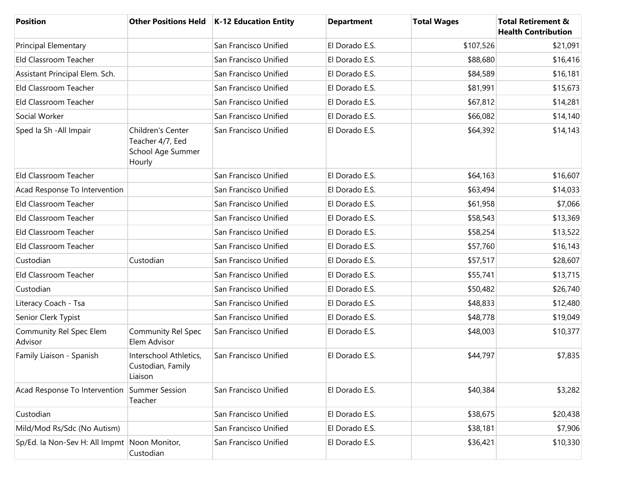| <b>Position</b>                              |                                                                      | Other Positions Held   K-12 Education Entity | <b>Department</b> | <b>Total Wages</b> | <b>Total Retirement &amp;</b><br><b>Health Contribution</b> |
|----------------------------------------------|----------------------------------------------------------------------|----------------------------------------------|-------------------|--------------------|-------------------------------------------------------------|
| <b>Principal Elementary</b>                  |                                                                      | San Francisco Unified                        | El Dorado E.S.    | \$107,526          | \$21,091                                                    |
| Eld Classroom Teacher                        |                                                                      | San Francisco Unified                        | El Dorado E.S.    | \$88,680           | \$16,416                                                    |
| Assistant Principal Elem. Sch.               |                                                                      | San Francisco Unified                        | El Dorado E.S.    | \$84,589           | \$16,181                                                    |
| Eld Classroom Teacher                        |                                                                      | San Francisco Unified                        | El Dorado E.S.    | \$81,991           | \$15,673                                                    |
| Eld Classroom Teacher                        |                                                                      | San Francisco Unified                        | El Dorado E.S.    | \$67,812           | \$14,281                                                    |
| Social Worker                                |                                                                      | San Francisco Unified                        | El Dorado E.S.    | \$66,082           | \$14,140                                                    |
| Sped Ia Sh - All Impair                      | Children's Center<br>Teacher 4/7, Eed<br>School Age Summer<br>Hourly | San Francisco Unified                        | El Dorado E.S.    | \$64,392           | \$14,143                                                    |
| Eld Classroom Teacher                        |                                                                      | San Francisco Unified                        | El Dorado E.S.    | \$64,163           | \$16,607                                                    |
| Acad Response To Intervention                |                                                                      | San Francisco Unified                        | El Dorado E.S.    | \$63,494           | \$14,033                                                    |
| Eld Classroom Teacher                        |                                                                      | San Francisco Unified                        | El Dorado E.S.    | \$61,958           | \$7,066                                                     |
| Eld Classroom Teacher                        |                                                                      | San Francisco Unified                        | El Dorado E.S.    | \$58,543           | \$13,369                                                    |
| Eld Classroom Teacher                        |                                                                      | San Francisco Unified                        | El Dorado E.S.    | \$58,254           | \$13,522                                                    |
| Eld Classroom Teacher                        |                                                                      | San Francisco Unified                        | El Dorado E.S.    | \$57,760           | \$16,143                                                    |
| Custodian                                    | Custodian                                                            | San Francisco Unified                        | El Dorado E.S.    | \$57,517           | \$28,607                                                    |
| Eld Classroom Teacher                        |                                                                      | San Francisco Unified                        | El Dorado E.S.    | \$55,741           | \$13,715                                                    |
| Custodian                                    |                                                                      | San Francisco Unified                        | El Dorado E.S.    | \$50,482           | \$26,740                                                    |
| Literacy Coach - Tsa                         |                                                                      | San Francisco Unified                        | El Dorado E.S.    | \$48,833           | \$12,480                                                    |
| Senior Clerk Typist                          |                                                                      | San Francisco Unified                        | El Dorado E.S.    | \$48,778           | \$19,049                                                    |
| Community Rel Spec Elem<br>Advisor           | Community Rel Spec<br>Elem Advisor                                   | San Francisco Unified                        | El Dorado E.S.    | \$48,003           | \$10,377                                                    |
| Family Liaison - Spanish                     | Interschool Athletics,<br>Custodian, Family<br>Liaison               | San Francisco Unified                        | El Dorado E.S.    | \$44,797           | \$7,835                                                     |
| Acad Response To Intervention Summer Session | Teacher                                                              | San Francisco Unified                        | El Dorado E.S.    | \$40,384           | \$3,282                                                     |
| Custodian                                    |                                                                      | San Francisco Unified                        | El Dorado E.S.    | \$38,675           | \$20,438                                                    |
| Mild/Mod Rs/Sdc (No Autism)                  |                                                                      | San Francisco Unified                        | El Dorado E.S.    | \$38,181           | \$7,906                                                     |
| Sp/Ed. la Non-Sev H: All Impmt Noon Monitor, | Custodian                                                            | San Francisco Unified                        | El Dorado E.S.    | \$36,421           | \$10,330                                                    |